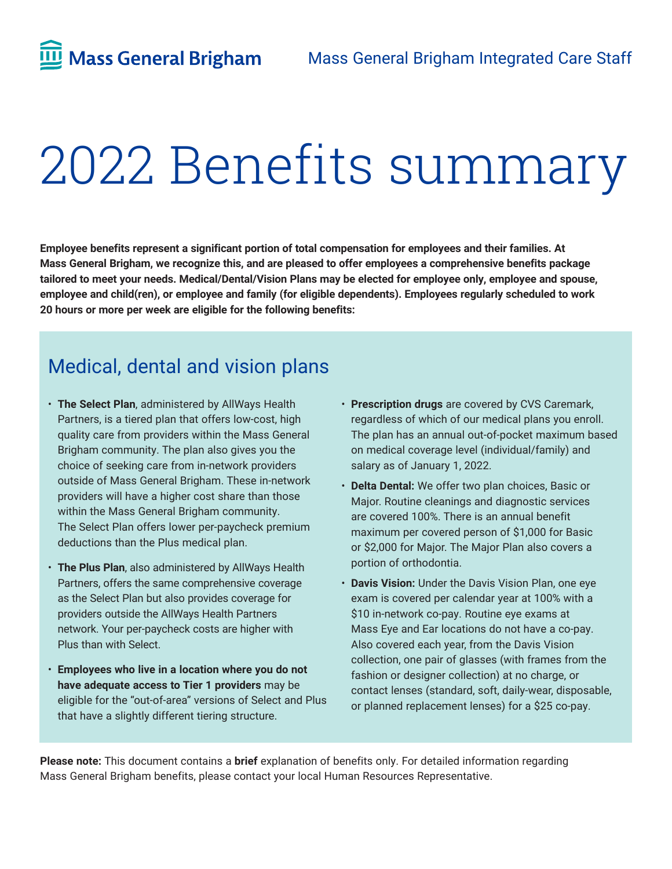# 2022 Benefits summary

**Employee benefits represent a significant portion of total compensation for employees and their families. At Mass General Brigham, we recognize this, and are pleased to offer employees a comprehensive benefits package tailored to meet your needs. Medical/Dental/Vision Plans may be elected for employee only, employee and spouse, employee and child(ren), or employee and family (for eligible dependents). Employees regularly scheduled to work 20 hours or more per week are eligible for the following benefits:**

# Medical, dental and vision plans

- **The Select Plan**, administered by AllWays Health Partners, is a tiered plan that offers low-cost, high quality care from providers within the Mass General Brigham community. The plan also gives you the choice of seeking care from in-network providers outside of Mass General Brigham. These in-network providers will have a higher cost share than those within the Mass General Brigham community. The Select Plan offers lower per-paycheck premium deductions than the Plus medical plan.
- **The Plus Plan**, also administered by AllWays Health Partners, offers the same comprehensive coverage as the Select Plan but also provides coverage for providers outside the AllWays Health Partners network. Your per-paycheck costs are higher with Plus than with Select.
- **Employees who live in a location where you do not have adequate access to Tier 1 providers** may be eligible for the "out-of-area" versions of Select and Plus that have a slightly different tiering structure.
- **Prescription drugs** are covered by CVS Caremark, regardless of which of our medical plans you enroll. The plan has an annual out-of-pocket maximum based on medical coverage level (individual/family) and salary as of January 1, 2022.
- **Delta Dental:** We offer two plan choices, Basic or Major. Routine cleanings and diagnostic services are covered 100%. There is an annual benefit maximum per covered person of \$1,000 for Basic or \$2,000 for Major. The Major Plan also covers a portion of orthodontia.
- **Davis Vision:** Under the Davis Vision Plan, one eye exam is covered per calendar year at 100% with a \$10 in-network co-pay. Routine eye exams at Mass Eye and Ear locations do not have a co-pay. Also covered each year, from the Davis Vision collection, one pair of glasses (with frames from the fashion or designer collection) at no charge, or contact lenses (standard, soft, daily-wear, disposable, or planned replacement lenses) for a \$25 co-pay.

**Please note:** This document contains a **brief** explanation of benefits only. For detailed information regarding Mass General Brigham benefits, please contact your local Human Resources Representative.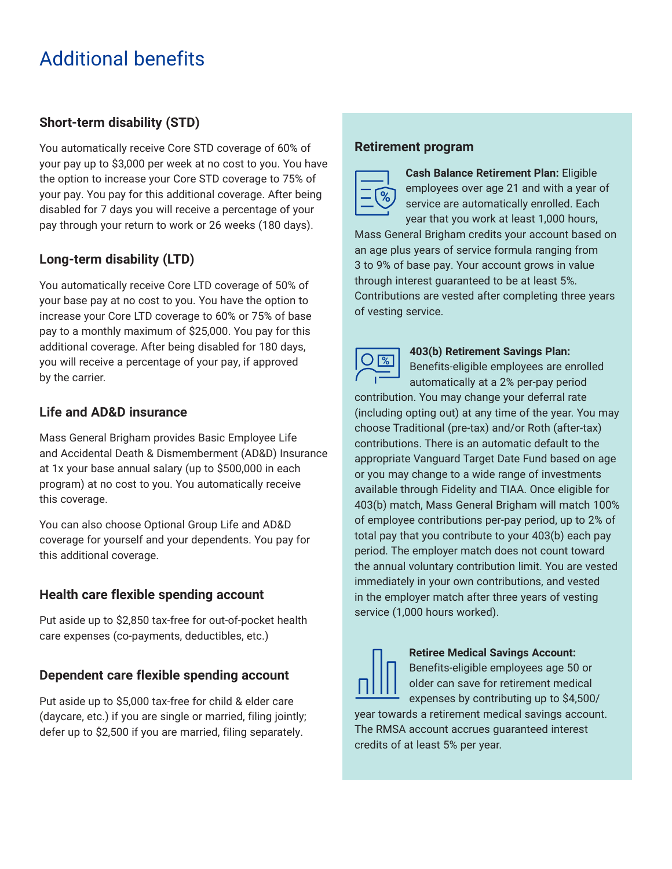# Additional benefits

# **Short-term disability (STD)**

You automatically receive Core STD coverage of 60% of your pay up to \$3,000 per week at no cost to you. You have the option to increase your Core STD coverage to 75% of your pay. You pay for this additional coverage. After being disabled for 7 days you will receive a percentage of your pay through your return to work or 26 weeks (180 days).

# **Long-term disability (LTD)**

You automatically receive Core LTD coverage of 50% of your base pay at no cost to you. You have the option to increase your Core LTD coverage to 60% or 75% of base pay to a monthly maximum of \$25,000. You pay for this additional coverage. After being disabled for 180 days, you will receive a percentage of your pay, if approved by the carrier.

# **Life and AD&D insurance**

Mass General Brigham provides Basic Employee Life and Accidental Death & Dismemberment (AD&D) Insurance at 1x your base annual salary (up to \$500,000 in each program) at no cost to you. You automatically receive this coverage.

You can also choose Optional Group Life and AD&D coverage for yourself and your dependents. You pay for this additional coverage.

# **Health care flexible spending account**

Put aside up to \$2,850 tax-free for out-of-pocket health care expenses (co-payments, deductibles, etc.)

# **Dependent care flexible spending account**

Put aside up to \$5,000 tax-free for child & elder care (daycare, etc.) if you are single or married, filing jointly; defer up to \$2,500 if you are married, filing separately.

## **Retirement program**



**Cash Balance Retirement Plan:** Eligible employees over age 21 and with a year of service are automatically enrolled. Each year that you work at least 1,000 hours,

Mass General Brigham credits your account based on an age plus years of service formula ranging from 3 to 9% of base pay. Your account grows in value through interest guaranteed to be at least 5%. Contributions are vested after completing three years of vesting service.



#### **403(b) Retirement Savings Plan:**

Benefits-eligible employees are enrolled automatically at a 2% per-pay period

contribution. You may change your deferral rate (including opting out) at any time of the year. You may choose Traditional (pre-tax) and/or Roth (after-tax) contributions. There is an automatic default to the appropriate Vanguard Target Date Fund based on age or you may change to a wide range of investments available through Fidelity and TIAA. Once eligible for 403(b) match, Mass General Brigham will match 100% of employee contributions per-pay period, up to 2% of total pay that you contribute to your 403(b) each pay period. The employer match does not count toward the annual voluntary contribution limit. You are vested immediately in your own contributions, and vested in the employer match after three years of vesting service (1,000 hours worked).



#### **Retiree Medical Savings Account:**  Benefits-eligible employees age 50 or

older can save for retirement medical expenses by contributing up to \$4,500/

year towards a retirement medical savings account. The RMSA account accrues guaranteed interest credits of at least 5% per year.